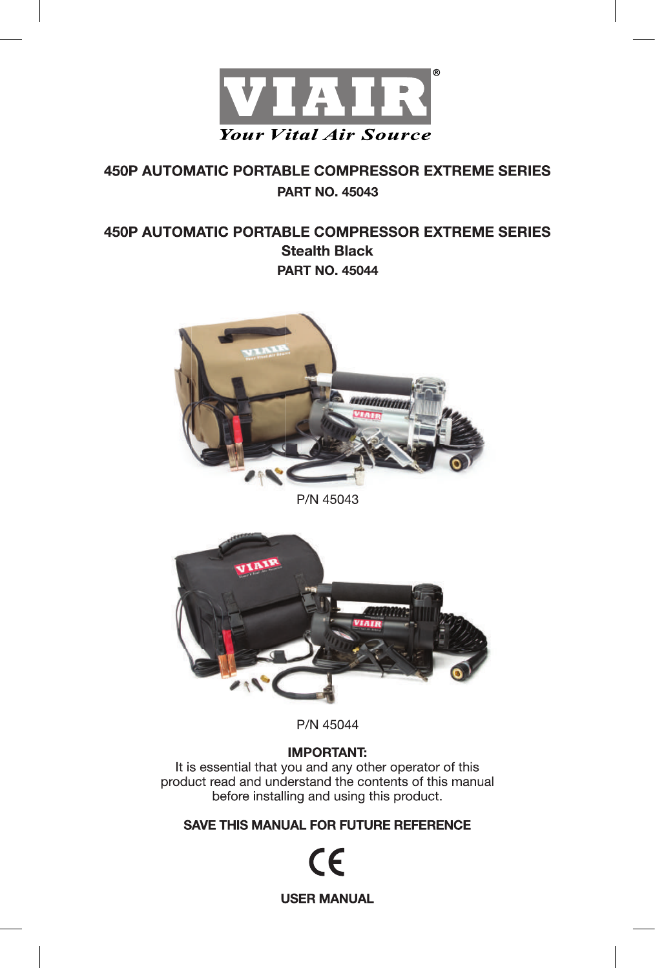

# **450P AUTOMATIC PORTABLE COMPRESSOR EXTREME SERIES PART NO. 45043**

# **450P AUTOMATIC PORTABLE COMPRESSOR EXTREME SERIES Stealth Black PART NO. 45044**



P/N 45043



P/N 45044

### **IMPORTANT:**

It is essential that you and any other operator of this product read and understand the contents of this manual before installing and using this product.

SAVE THIS MANUAL FOR FUTURE REFERENCE

CE **USER MANUAL**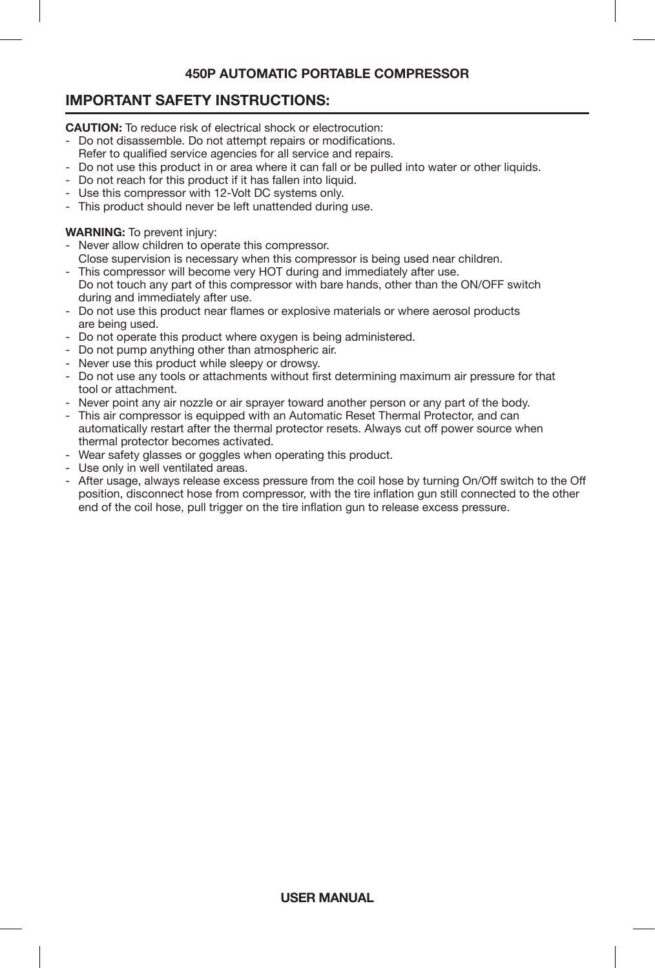# **IMPORTANT SAFETY INSTRUCTIONS:**

**CAUTION:** To reduce risk of electrical shock or electrocution:

- Do not disassemble. Do not attempt repairs or modifications.
- Refer to qualified service agencies for all service and repairs.
- Do not use this product in or area where it can fall or be pulled into water or other liquids.
- Do not reach for this product if it has fallen into liquid.
- Use this compressor with 12-Volt DC systems only.
- This product should never be left unattended during use.

#### **WARNING:** To prevent injury:

- Never allow children to operate this compressor.
- Close supervision is necessary when this compressor is being used near children.
- This compressor will become very HOT during and immediately after use. Do not touch any part of this compressor with bare hands, other than the ON/OFF switch during and immediately after use.
- Do not use this product near flames or explosive materials or where aerosol products are being used.
- Do not operate this product where oxygen is being administered.
- Do not pump anything other than atmospheric air.
- Never use this product while sleepy or drowsy.
- Do not use any tools or attachments without first determining maximum air pressure for that tool or attachment.
- Never point any air nozzle or air sprayer toward another person or any part of the body.
- This air compressor is equipped with an Automatic Reset Thermal Protector, and can automatically restart after the thermal protector resets. Always cut off power source when thermal protector becomes activated.
- Wear safety glasses or goggles when operating this product.
- Use only in well ventilated areas.
- After usage, always release excess pressure from the coil hose by turning On/Off switch to the Off position, disconnect hose from compressor, with the tire inflation gun still connected to the other end of the coil hose, pull trigger on the tire inflation gun to release excess pressure.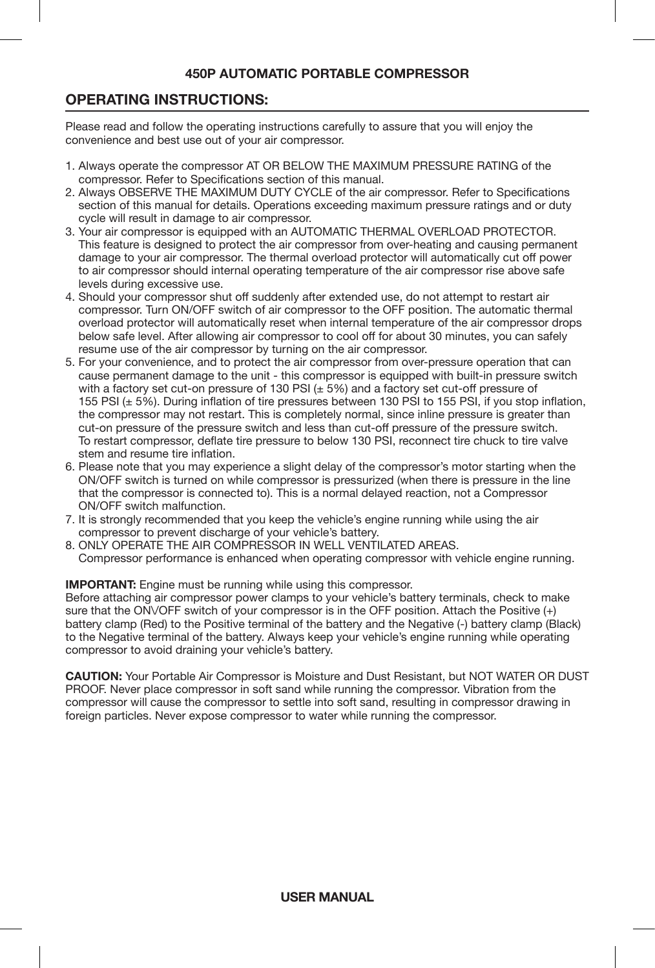## **OPERATING INSTRUCTIONS:**

Please read and follow the operating instructions carefully to assure that you will enjoy the convenience and best use out of your air compressor.

- 1. Always operate the compressor AT OR BELOW THE MAXIMUM PRESSURE RATING of the compressor. Refer to Specifications section of this manual.
- 2. Always OBSERVE THE MAXIMUM DUTY CYCLE of the air compressor. Refer to Specifications section of this manual for details. Operations exceeding maximum pressure ratings and or duty cycle will result in damage to air compressor.
- 3. Your air compressor is equipped with an AUTOMATIC THERMAL OVERLOAD PROTECTOR. This feature is designed to protect the air compressor from over-heating and causing permanent damage to your air compressor. The thermal overload protector will automatically cut off power to air compressor should internal operating temperature of the air compressor rise above safe levels during excessive use.
- 4. Should your compressor shut off suddenly after extended use, do not attempt to restart air compressor. Turn ON/OFF switch of air compressor to the OFF position. The automatic thermal overload protector will automatically reset when internal temperature of the air compressor drops below safe level. After allowing air compressor to cool off for about 30 minutes, you can safely resume use of the air compressor by turning on the air compressor.
- 5. For your convenience, and to protect the air compressor from over-pressure operation that can cause permanent damage to the unit - this compressor is equipped with built-in pressure switch with a factory set cut-on pressure of 130 PSI  $(\pm 5\%)$  and a factory set cut-off pressure of 155 PSI (± 5%). During inflation of tire pressures between 130 PSI to 155 PSI, if you stop inflation, the compressor may not restart. This is completely normal, since inline pressure is greater than cut-on pressure of the pressure switch and less than cut-off pressure of the pressure switch. To restart compressor, deflate tire pressure to below 130 PSI, reconnect tire chuck to tire valve stem and resume tire inflation.
- 6. Please note that you may experience a slight delay of the compressor's motor starting when the ON/OFF switch is turned on while compressor is pressurized (when there is pressure in the line that the compressor is connected to). This is a normal delayed reaction, not a Compressor ON/OFF switch malfunction.
- 7. It is strongly recommended that you keep the vehicle's engine running while using the air compressor to prevent discharge of your vehicle's battery.
- 8. ONLY OPERATE THE AIR COMPRESSOR IN WELL VENTILATED AREAS. Compressor performance is enhanced when operating compressor with vehicle engine running.

**IMPORTANT:** Engine must be running while using this compressor.

Before attaching air compressor power clamps to your vehicle's battery terminals, check to make sure that the ONVOFF switch of your compressor is in the OFF position. Attach the Positive (+) battery clamp (Red) to the Positive terminal of the battery and the Negative (-) battery clamp (Black) to the Negative terminal of the battery. Always keep your vehicle's engine running while operating compressor to avoid draining your vehicle's battery.

**CAUTION:** Your Portable Air Compressor is Moisture and Dust Resistant, but NOT WATER OR DUST PROOF. Never place compressor in soft sand while running the compressor. Vibration from the compressor will cause the compressor to settle into soft sand, resulting in compressor drawing in foreign particles. Never expose compressor to water while running the compressor.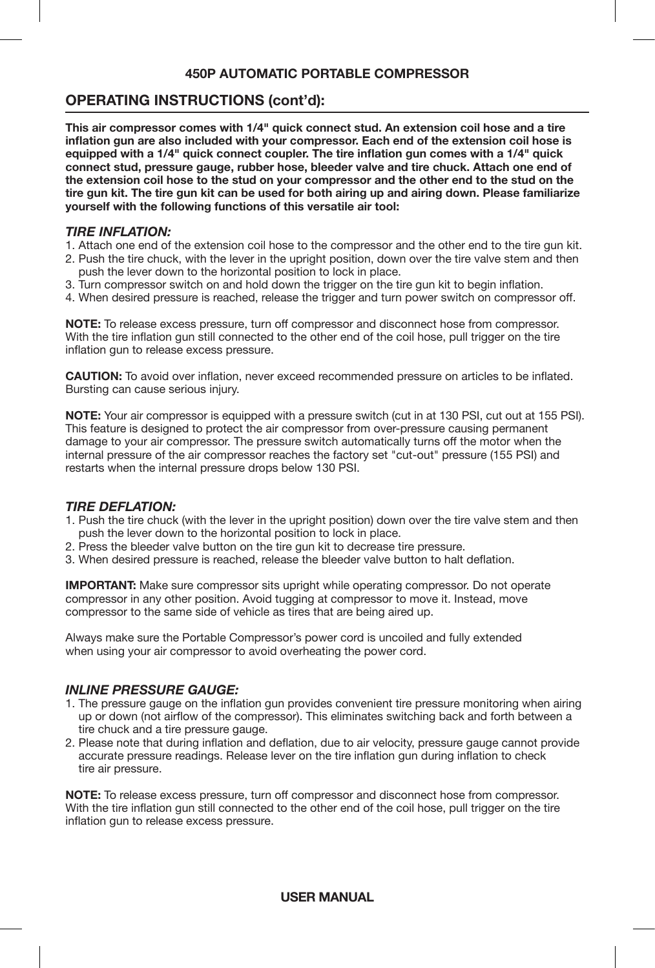### **OPERATING INSTRUCTIONS (cont'd):**

**This air compressor comes with 1/4" quick connect stud. An extension coil hose and a tire inflation gun are also included with your compressor. Each end of the extension coil hose is equipped with a 1/4" quick connect coupler. The tire inflation gun comes with a 1/4" quick connect stud, pressure gauge, rubber hose, bleeder valve and tire chuck. Attach one end of the extension coil hose to the stud on your compressor and the other end to the stud on the tire gun kit. The tire gun kit can be used for both airing up and airing down. Please familiarize yourself with the following functions of this versatile air tool:**

#### *TIRE INFLATION:*

- 1. Attach one end of the extension coil hose to the compressor and the other end to the tire gun kit.
- 2. Push the tire chuck, with the lever in the upright position, down over the tire valve stem and then push the lever down to the horizontal position to lock in place.
- 3. Turn compressor switch on and hold down the trigger on the tire gun kit to begin inflation.
- 4. When desired pressure is reached, release the trigger and turn power switch on compressor off.

**NOTE:** To release excess pressure, turn off compressor and disconnect hose from compressor. With the tire inflation gun still connected to the other end of the coil hose, pull trigger on the tire inflation gun to release excess pressure.

**CAUTION:** To avoid over inflation, never exceed recommended pressure on articles to be inflated. Bursting can cause serious injury.

**NOTE:** Your air compressor is equipped with a pressure switch (cut in at 130 PSI, cut out at 155 PSI). This feature is designed to protect the air compressor from over-pressure causing permanent damage to your air compressor. The pressure switch automatically turns off the motor when the internal pressure of the air compressor reaches the factory set "cut-out" pressure (155 PSI) and restarts when the internal pressure drops below 130 PSI.

#### *TIRE DEFLATION:*

- 1. Push the tire chuck (with the lever in the upright position) down over the tire valve stem and then push the lever down to the horizontal position to lock in place.
- 2. Press the bleeder valve button on the tire gun kit to decrease tire pressure.
- 3. When desired pressure is reached, release the bleeder valve button to halt deflation.

**IMPORTANT:** Make sure compressor sits upright while operating compressor. Do not operate compressor in any other position. Avoid tugging at compressor to move it. Instead, move compressor to the same side of vehicle as tires that are being aired up.

Always make sure the Portable Compressor's power cord is uncoiled and fully extended when using your air compressor to avoid overheating the power cord.

#### *INLINE PRESSURE GAUGE:*

- 1. The pressure gauge on the inflation gun provides convenient tire pressure monitoring when airing up or down (not airflow of the compressor). This eliminates switching back and forth between a tire chuck and a tire pressure gauge.
- 2. Please note that during inflation and deflation, due to air velocity, pressure gauge cannot provide accurate pressure readings. Release lever on the tire inflation gun during inflation to check tire air pressure.

**NOTE:** To release excess pressure, turn off compressor and disconnect hose from compressor. With the tire inflation gun still connected to the other end of the coil hose, pull trigger on the tire inflation gun to release excess pressure.

### **USER MANUAL**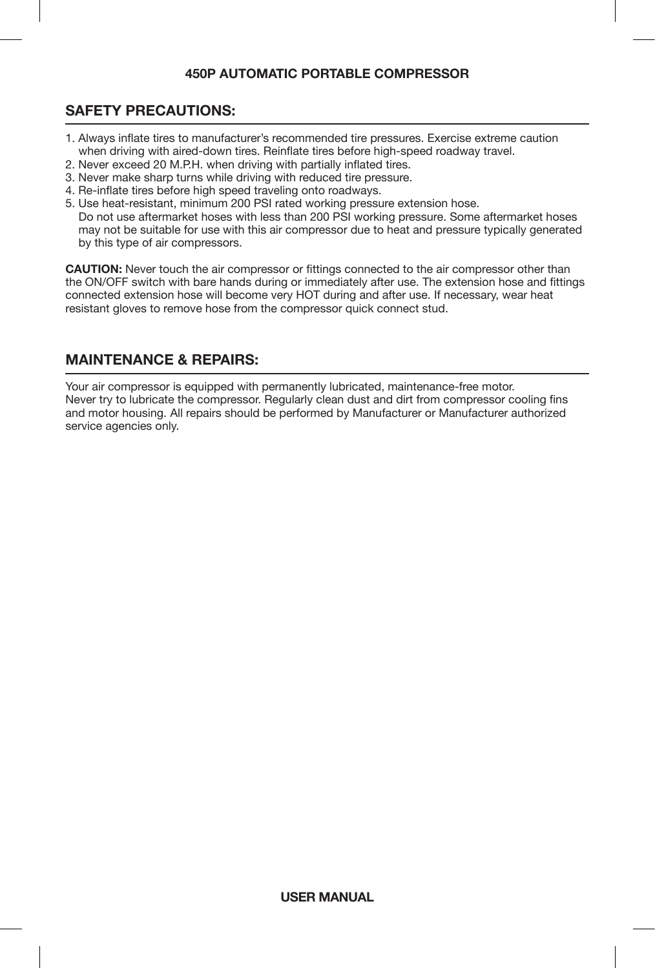## **SAFETY PRECAUTIONS:**

- 1. Always inflate tires to manufacturer's recommended tire pressures. Exercise extreme caution when driving with aired-down tires. Reinflate tires before high-speed roadway travel.
- 2. Never exceed 20 M.P.H. when driving with partially inflated tires.
- 3. Never make sharp turns while driving with reduced tire pressure.
- 4. Re-inflate tires before high speed traveling onto roadways.

5. Use heat-resistant, minimum 200 PSI rated working pressure extension hose. Do not use aftermarket hoses with less than 200 PSI working pressure. Some aftermarket hoses may not be suitable for use with this air compressor due to heat and pressure typically generated by this type of air compressors.

**CAUTION:** Never touch the air compressor or fittings connected to the air compressor other than the ON/OFF switch with bare hands during or immediately after use. The extension hose and fittings connected extension hose will become very HOT during and after use. If necessary, wear heat resistant gloves to remove hose from the compressor quick connect stud.

# **MAINTENANCE & REPAIRS:**

Your air compressor is equipped with permanently lubricated, maintenance-free motor. Never try to lubricate the compressor. Regularly clean dust and dirt from compressor cooling fins and motor housing. All repairs should be performed by Manufacturer or Manufacturer authorized service agencies only.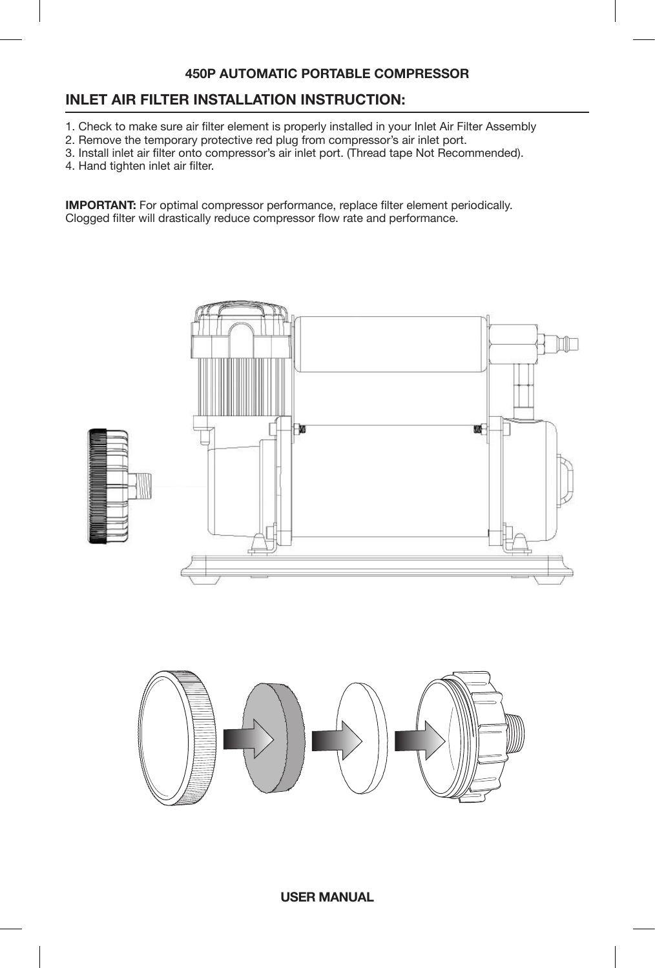### **INLET AIR FILTER INSTALLATION INSTRUCTION:**

- 1. Check to make sure air filter element is properly installed in your Inlet Air Filter Assembly
- 2. Remove the temporary protective red plug from compressor's air inlet port.
- 3. Install inlet air filter onto compressor's air inlet port. (Thread tape Not Recommended).
- 4. Hand tighten inlet air filter.

**IMPORTANT:** For optimal compressor performance, replace filter element periodically. Clogged filter will drastically reduce compressor flow rate and performance.





**USER MANUAL**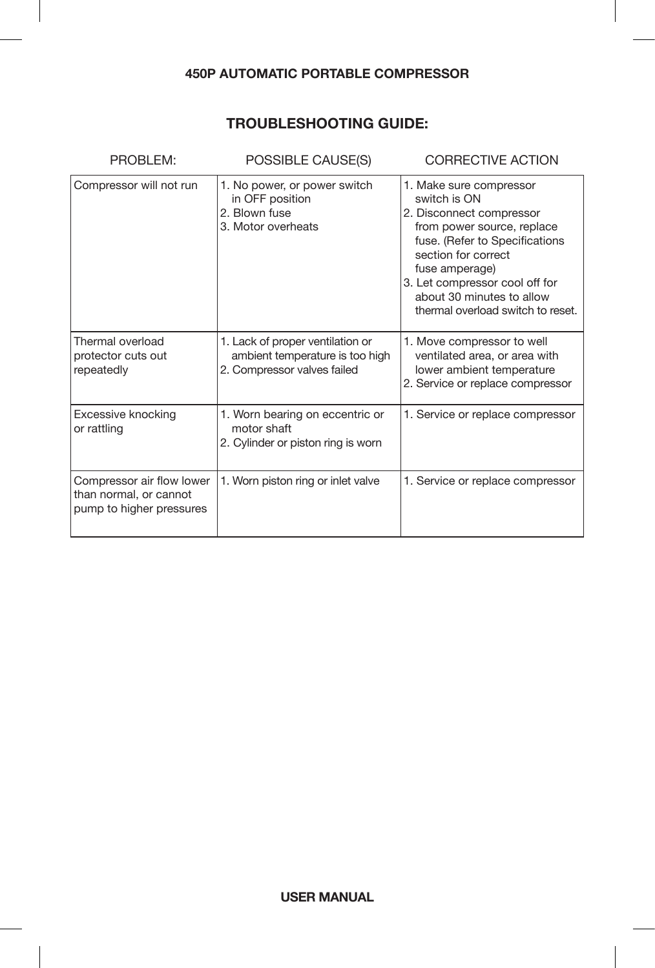# **TROUBLESHOOTING GUIDE:**

| PROBLEM:                                                                        | POSSIBLE CAUSE(S)                                                                                  | <b>CORRECTIVE ACTION</b>                                                                                                                                                                                                                                                         |
|---------------------------------------------------------------------------------|----------------------------------------------------------------------------------------------------|----------------------------------------------------------------------------------------------------------------------------------------------------------------------------------------------------------------------------------------------------------------------------------|
| Compressor will not run                                                         | 1. No power, or power switch<br>in OFF position<br>2. Blown fuse<br>3. Motor overheats             | 1. Make sure compressor<br>switch is ON<br>2. Disconnect compressor<br>from power source, replace<br>fuse. (Refer to Specifications<br>section for correct<br>fuse amperage)<br>3. Let compressor cool off for<br>about 30 minutes to allow<br>thermal overload switch to reset. |
| Thermal overload<br>protector cuts out<br>repeatedly                            | 1. Lack of proper ventilation or<br>ambient temperature is too high<br>2. Compressor valves failed | 1. Move compressor to well<br>ventilated area, or area with<br>lower ambient temperature<br>2. Service or replace compressor                                                                                                                                                     |
| Excessive knocking<br>or rattling                                               | 1. Worn bearing on eccentric or<br>motor shaft<br>2. Cylinder or piston ring is worn               | 1. Service or replace compressor                                                                                                                                                                                                                                                 |
| Compressor air flow lower<br>than normal, or cannot<br>pump to higher pressures | 1. Worn piston ring or inlet valve                                                                 | 1. Service or replace compressor                                                                                                                                                                                                                                                 |